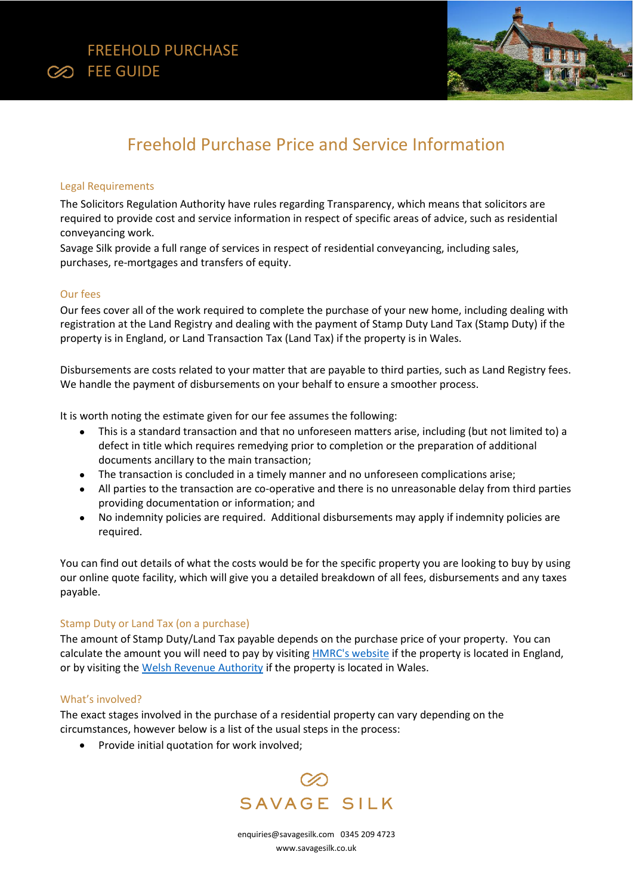



# Freehold Purchase Price and Service Information

## Legal Requirements

The Solicitors Regulation Authority have rules regarding Transparency, which means that solicitors are required to provide cost and service information in respect of specific areas of advice, such as residential conveyancing work.

Savage Silk provide a full range of services in respect of residential conveyancing, including sales, purchases, re-mortgages and transfers of equity.

## Our fees

Our fees cover all of the work required to complete the purchase of your new home, including dealing with registration at the Land Registry and dealing with the payment of Stamp Duty Land Tax (Stamp Duty) if the property is in England, or Land Transaction Tax (Land Tax) if the property is in Wales.

Disbursements are costs related to your matter that are payable to third parties, such as Land Registry fees. We handle the payment of disbursements on your behalf to ensure a smoother process.

It is worth noting the estimate given for our fee assumes the following:

- This is a standard transaction and that no unforeseen matters arise, including (but not limited to) a defect in title which requires remedying prior to completion or the preparation of additional documents ancillary to the main transaction;
- The transaction is concluded in a timely manner and no unforeseen complications arise;
- All parties to the transaction are co-operative and there is no unreasonable delay from third parties providing documentation or information; and
- No indemnity policies are required. Additional disbursements may apply if indemnity policies are required.

You can find out details of what the costs would be for the specific property you are looking to buy by using our online quote facility, which will give you a detailed breakdown of all fees, disbursements and any taxes payable.

## Stamp Duty or Land Tax (on a purchase)

The amount of Stamp Duty/Land Tax payable depends on the purchase price of your property. You can calculate the amount you will need to pay by visiting **HMRC's website if the property is located in England**, or by visiting th[e Welsh Revenue Authority](Welsh%20Revenue%20Authority) if the property is located in Wales.

## What's involved?

The exact stages involved in the purchase of a residential property can vary depending on the circumstances, however below is a list of the usual steps in the process:

• Provide initial quotation for work involved;



[enquiries@savagesilk.com](mailto:enquiries@savagesilk.co.uk) 0345 209 4723 [www.savagesilk.co.uk](http://www.savagesilk.co.uk/)